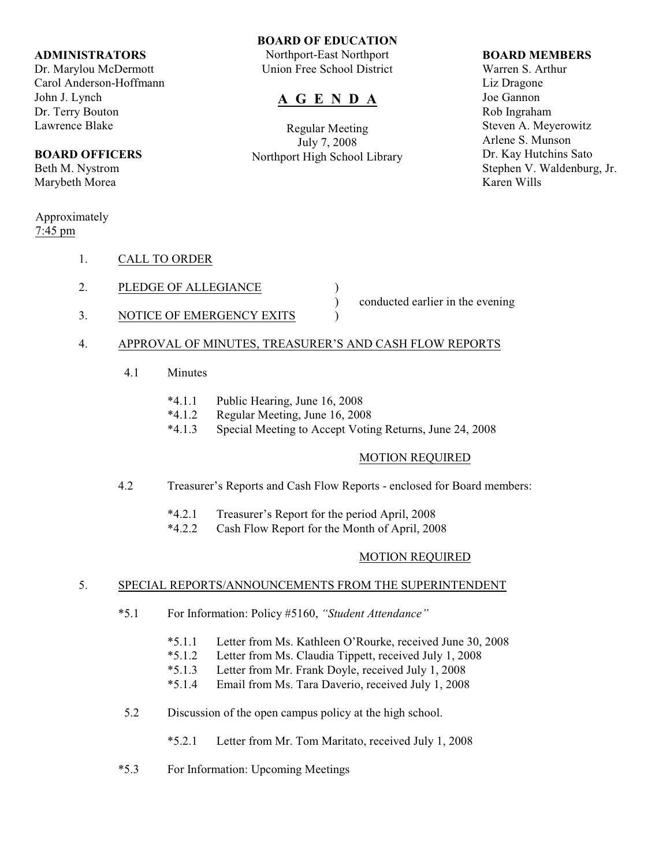### **ADMINISTRATORS**

Dr. Marylou McDermott Carol Anderson-Hoffmann John J. Lynch Dr. Terry Bouton Lawrence Blake

## **BOARD OFFICERS**

Beth M. Nystrom Marybeth Morea

## Approximately 7:45 pm

- 1. CALL TO ORDER
- 2. PLEDGE OF ALLEGIANCE
- 3. NOTICE OF EMERGENCY EXITS )

) conducted earlier in the evening

# 4. APPROVAL OF MINUTES, TREASURER'S AND CASH FLOW REPORTS

- 4.1 Minutes
	- \*4.1.1 Public Hearing, June 16, 2008
	- \*4.1.2 Regular Meeting, June 16, 2008
	- \*4.1.3 Special Meeting to Accept Voting Returns, June 24, 2008

**BOARD OF EDUCATION** Northport-East Northport Union Free School District

**A G E N D A**

Regular Meeting July 7, 2008 Northport High School Library

# MOTION REQUIRED

- 4.2 Treasurer's Reports and Cash Flow Reports enclosed for Board members:
	- \*4.2.1 Treasurer's Report for the period April, 2008
	- \*4.2.2 Cash Flow Report for the Month of April, 2008

## MOTION REQUIRED

## 5. SPECIAL REPORTS/ANNOUNCEMENTS FROM THE SUPERINTENDENT

- \*5.1 For Information: Policy #5160, *"Student Attendance"*
	- \*5.1.1 Letter from Ms. Kathleen O'Rourke, received June 30, 2008
	- \*5.1.2 Letter from Ms. Claudia Tippett, received July 1, 2008
	- \*5.1.3 Letter from Mr. Frank Doyle, received July 1, 2008
	- \*5.1.4 Email from Ms. Tara Daverio, received July 1, 2008
- 5.2 Discussion of the open campus policy at the high school.
	- \*5.2.1 Letter from Mr. Tom Maritato, received July 1, 2008
- \*5.3 For Information: Upcoming Meetings

# **BOARD MEMBERS**

Warren S. Arthur Liz Dragone Joe Gannon Rob Ingraham Steven A. Meyerowitz Arlene S. Munson Dr. Kay Hutchins Sato Stephen V. Waldenburg, Jr. Karen Wills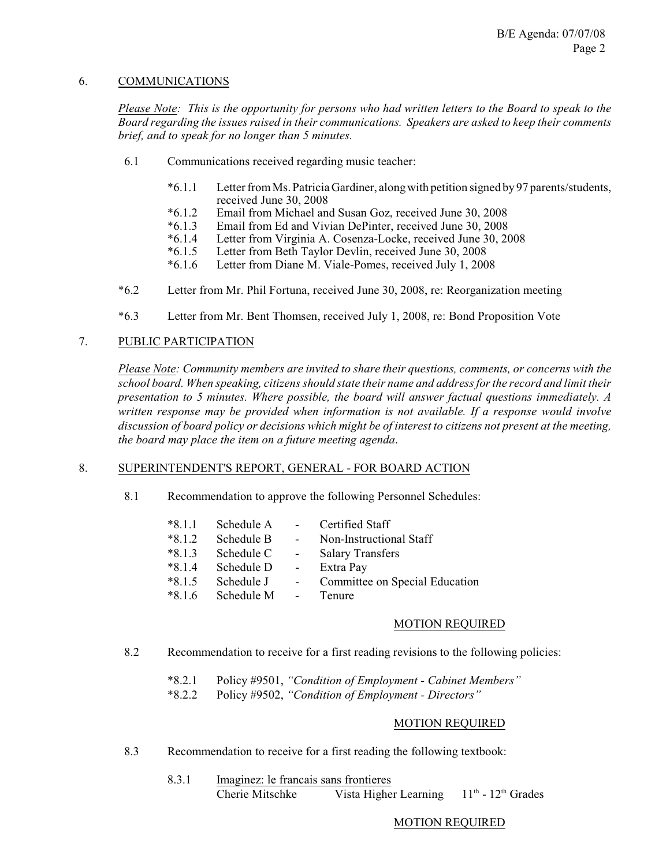## 6. COMMUNICATIONS

*Please Note: This is the opportunity for persons who had written letters to the Board to speak to the Board regarding the issues raised in their communications. Speakers are asked to keep their comments brief, and to speak for no longer than 5 minutes.*

- 6.1 Communications received regarding music teacher:
	- \*6.1.1 Letter from Ms. Patricia Gardiner, along with petition signed by 97 parents/students, received June 30, 2008
	- \*6.1.2 Email from Michael and Susan Goz, received June 30, 2008
	- Email from Ed and Vivian DePinter, received June 30, 2008
	- \*6.1.4 Letter from Virginia A. Cosenza-Locke, received June 30, 2008
	- \*6.1.5 Letter from Beth Taylor Devlin, received June 30, 2008
	- Letter from Diane M. Viale-Pomes, received July 1, 2008
- \*6.2 Letter from Mr. Phil Fortuna, received June 30, 2008, re: Reorganization meeting
- \*6.3 Letter from Mr. Bent Thomsen, received July 1, 2008, re: Bond Proposition Vote

## 7. PUBLIC PARTICIPATION

*Please Note: Community members are invited to share their questions, comments, or concerns with the school board. When speaking, citizens should state their name and address for the record and limit their presentation to 5 minutes. Where possible, the board will answer factual questions immediately. A written response may be provided when information is not available. If a response would involve discussion of board policy or decisions which might be of interest to citizens not present at the meeting, the board may place the item on a future meeting agenda*.

### 8. SUPERINTENDENT'S REPORT, GENERAL - FOR BOARD ACTION

8.1 Recommendation to approve the following Personnel Schedules:

| $*8.1.1$ | Schedule A |                | Certified Staff                |
|----------|------------|----------------|--------------------------------|
| $*8.1.2$ | Schedule B | $\blacksquare$ | Non-Instructional Staff        |
| $*8.1.3$ | Schedule C | $\sim 10$      | <b>Salary Transfers</b>        |
| $*8.1.4$ | Schedule D | $\blacksquare$ | Extra Pay                      |
| $*8.1.5$ | Schedule J |                | Committee on Special Education |
| $*8.1.6$ | Schedule M | $\blacksquare$ | Tenure                         |

#### MOTION REQUIRED

- 8.2 Recommendation to receive for a first reading revisions to the following policies:
	- \*8.2.1 Policy #9501, *"Condition of Employment Cabinet Members"*
	- \*8.2.2 Policy #9502, *"Condition of Employment Directors"*

#### MOTION REQUIRED

- 8.3 Recommendation to receive for a first reading the following textbook:
	- 8.3.1 Imaginez: le francais sans frontieres Cherie Mitschke Vista Higher Learning  $11<sup>th</sup> - 12<sup>th</sup>$  Grades

#### MOTION REQUIRED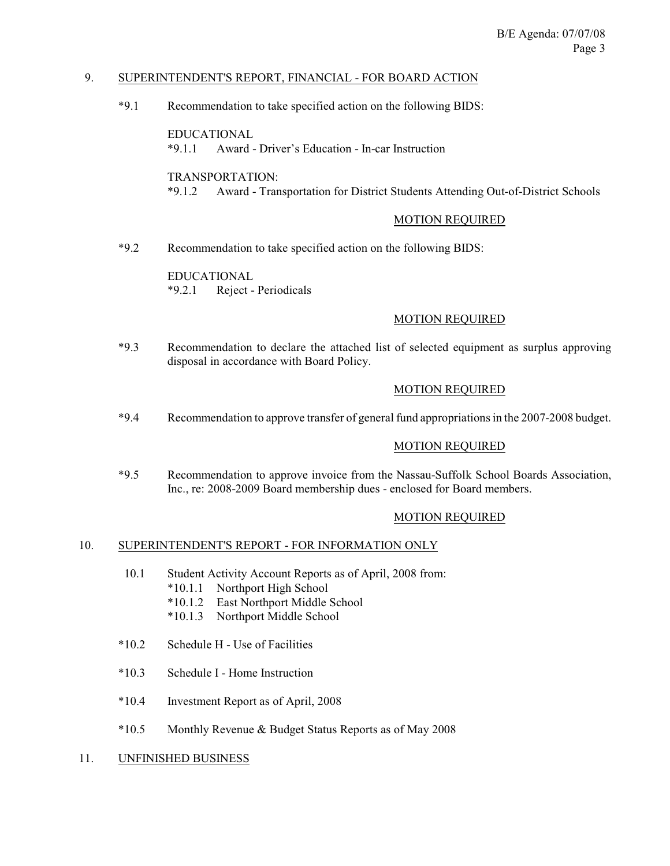## 9. SUPERINTENDENT'S REPORT, FINANCIAL - FOR BOARD ACTION

\*9.1 Recommendation to take specified action on the following BIDS:

EDUCATIONAL \*9.1.1 Award - Driver's Education - In-car Instruction

TRANSPORTATION:

\*9.1.2 Award - Transportation for District Students Attending Out-of-District Schools

### MOTION REQUIRED

\*9.2 Recommendation to take specified action on the following BIDS:

EDUCATIONAL \*9.2.1 Reject - Periodicals

## MOTION REQUIRED

\*9.3 Recommendation to declare the attached list of selected equipment as surplus approving disposal in accordance with Board Policy.

### MOTION REQUIRED

\*9.4 Recommendation to approve transfer of general fund appropriations in the 2007-2008 budget.

## MOTION REQUIRED

\*9.5 Recommendation to approve invoice from the Nassau-Suffolk School Boards Association, Inc., re: 2008-2009 Board membership dues - enclosed for Board members.

## MOTION REQUIRED

#### 10. SUPERINTENDENT'S REPORT - FOR INFORMATION ONLY

- 10.1 Student Activity Account Reports as of April, 2008 from:
	- \*10.1.1 Northport High School
		- \*10.1.2 East Northport Middle School
		- \*10.1.3 Northport Middle School
- \*10.2 Schedule H Use of Facilities
- \*10.3 Schedule I Home Instruction
- \*10.4 Investment Report as of April, 2008
- \*10.5 Monthly Revenue & Budget Status Reports as of May 2008
- 11. UNFINISHED BUSINESS